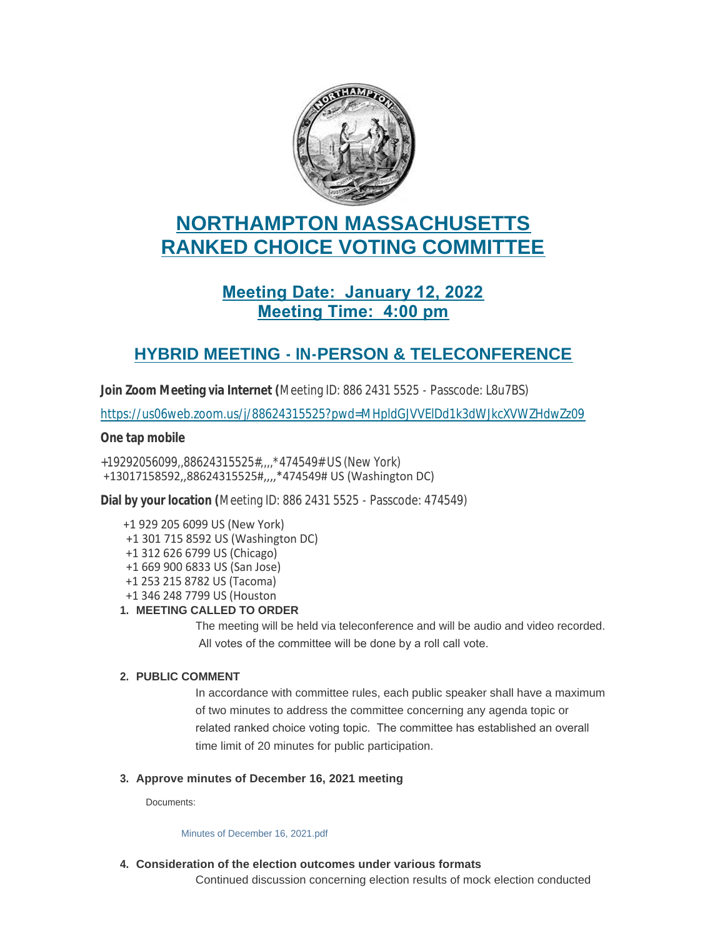

# **NORTHAMPTON MASSACHUSETTS RANKED CHOICE VOTING COMMITTEE**

## **Meeting Date: January 12, 2022 Meeting Time: 4:00 pm**

### **HYBRID MEETING - IN-PERSON & TELECONFERENCE**

**Join Zoom Meeting via Internet (**Meeting ID: 886 2431 5525 - Passcode: L8u7BS)

<https://us06web.zoom.us/j/88624315525?pwd=MHpldGJVVElDd1k3dWJkcXVWZHdwZz09>

#### **One tap mobile**

+19292056099,,88624315525#,,,,\*474549# US (New York) +13017158592,,88624315525#,,,,\*474549# US (Washington DC)

**Dial by your location (**Meeting ID: 886 2431 5525 - Passcode: 474549)

- +1 929 205 6099 US (New York)
- +1 301 715 8592 US (Washington DC)
- +1 312 626 6799 US (Chicago)
- +1 669 900 6833 US (San Jose)
- +1 253 215 8782 US (Tacoma)
- +1 346 248 7799 US (Houston

#### **MEETING CALLED TO ORDER 1.**

The meeting will be held via teleconference and will be audio and video recorded. All votes of the committee will be done by a roll call vote.

#### **PUBLIC COMMENT 2.**

In accordance with committee rules, each public speaker shall have a maximum of two minutes to address the committee concerning any agenda topic or related ranked choice voting topic. The committee has established an overall time limit of 20 minutes for public participation.

#### **Approve minutes of December 16, 2021 meeting 3.**

Documents:

[Minutes of December 16, 2021.pdf](https://northamptonma.gov/AgendaCenter/ViewFile/Item/18235?fileID=159731)

**Consideration of the election outcomes under various formats 4.**

Continued discussion concerning election results of mock election conducted